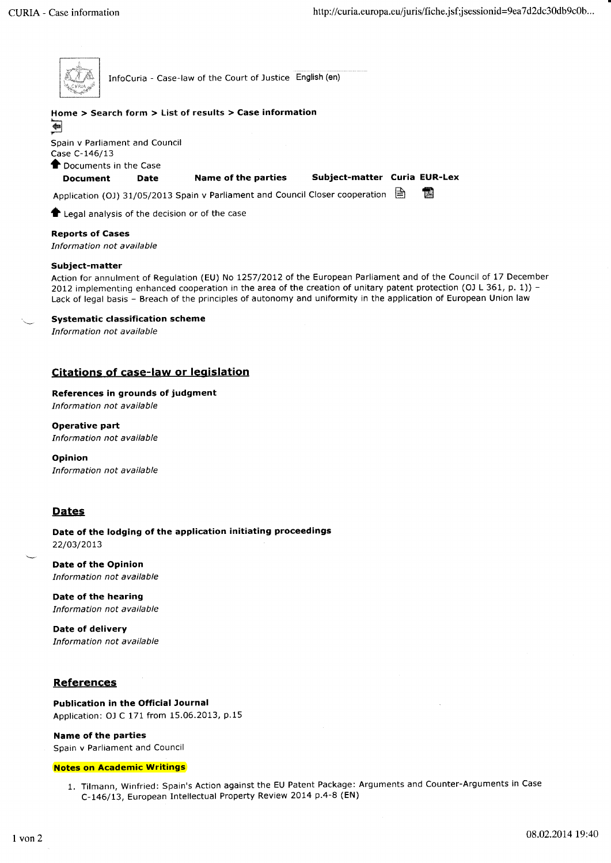

InfoCuria - Case-law of the Court of Justice English (en)

# Home > Search form > List of results > Case information

el Spain v Parliament and Council Case C-146/13 **The Documents in the Case** 

Document Date Name of the parties Subject-matter Curia EUR-Lex

Application (OJ) 31/05/2013 Spain v Parliament and Council Closer cooperation  $\Box$ 

 $\blacklozenge$  Legal analysis of the decision or of the case

### Reports of Cases

Information not available

#### Subject-matter

Action for annulment of Regulation (EU) No 1257/2012 of the European Parliament and of the Council of 17 December 2012 implementing enhanced cooperation in the area of the creation of unitary patent protection (OJ L 361, p. 1)) -Lack of legal basis - Breach of the principles of autonomy and uniformity in the application of European Union law

#### Systematic classification scheme

Information not available

### Citations of case-law or legislation

#### References in grounds of judgment

Information not available

Operative part Information not available

Opinion Information not available

#### Dates

Date of the lodging of the application initiating proceedings 22/03/2013

Date of the Opinion Information not available

Date of the hearing Information not available

Date of delivery Information not available

### References

Publication in the Official Journal Application: Ol C 171 from 15.06.2013, p.15

## Name of the parties

Spain v Parliament and Council

#### Notes on Academic Writings

1. Tilmann, Winfried: Spain's Action against the EU Patent Package: Arguments and Counter-Arguments in Case C-t46/13, European Intellectual Property Review 2014 p.4-8 (EN)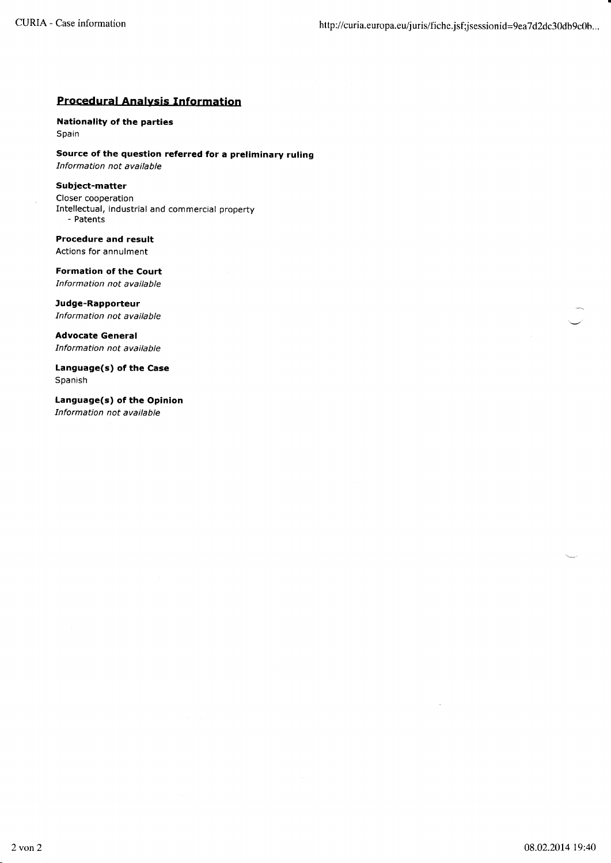## **Procedural Analysis Information**

Nationality of the parties Spain

Source of the question referred for a preliminary ruling Information not available

Subject-matter Closer cooperation Intellectual, industrial and commercial property - Patents

Procedure and result Actions for annulment

Formation of the Court Information not available

Judge-Rapporteur Information not available

Advocate General Information not available

Language(s) of the Case Spanish

Language(s) of the Opinion Information not available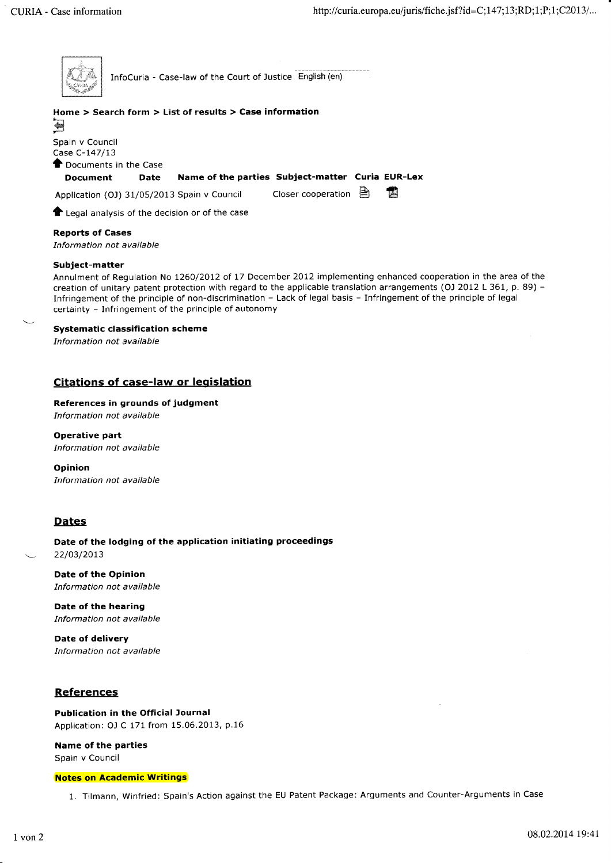

InfoCuria - Case-law of the Court of Justice English (en)

# Home > Search form > List of results > Case information

# "\*

### -\*- Spain v Council Case C-L47/13 **T** Documents in the Case

### Document Date Name of the parties Subject-matter Curia EUR-Lex

Application (OJ) 31/05/2013 Spain v Council Closer cooperation  $\Box$ 

**T** Legal analysis of the decision or of the case

### Reports of Cases

Information not available

#### Subject-matter

Annulment of Regulation No 1260/2012 of 17 December 2012 implementing enhanced cooperation in the area of the creation of unitary patent protection with regard to the applicable translation arrangements (OJ 2012 L 361, p. 89) -Infringement of the principle of non-discrimination - Lack of legal basis - Infringement of the principle of legal certainty - Infringement of the principle of autonomy

#### Systematic classification scheme

Information not available

# Citations of case-law or legislation

### References in grounds of judgment

Information not available

# Operative part

Information not available

### Opinion

Information not available

## Dates

Date of the lodging of the application initiating proceedings 22/03/20t3

Date of the Opinion Information not available

Date of the hearing Information not available

Date of delivery Information not available

## **References**

Publication in the Official Journal Application: OJ C 171 from 15.06.2013, p.16

Name of the parties Spain v Council

#### Notes on Academic Writings

1. Tilmann, Winfried: Spain's Action against the EU Patent Package: Arguments and Counter-Arguments in Case